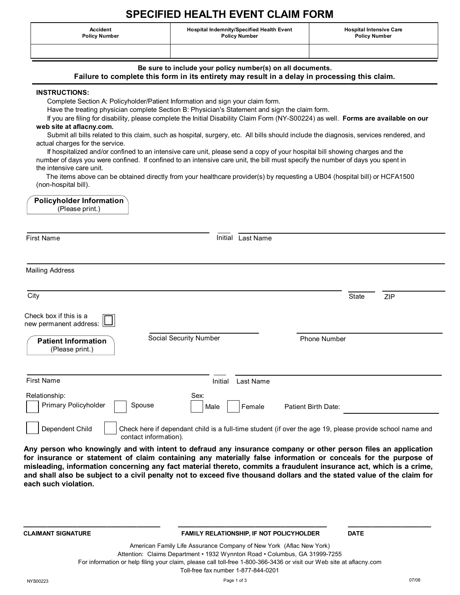# **SPECIFIED HEALTH EVENT CLAIM FORM**

**Accident Policy Number** **Hospital Indemnity/Specified Health Event Policy Number**

**Hospital Intensive Care Policy Number**

**Be sure to include your policy number(s) on all documents.**

## **Failure to complete this form in its entirety may result in a delay in processing this claim.**

#### **INSTRUCTIONS:**

Complete Section A: Policyholder/Patient Information and sign your claim form.

Have the treating physician complete Section B: Physician's Statement and sign the claim form.

 If you are filing for disability, please complete the Initial Disability Claim Form (NY-S00224) as well. **Forms are available on our web site at aflacny.com.**

 Submit all bills related to this claim, such as hospital, surgery, etc. All bills should include the diagnosis, services rendered, and actual charges for the service.

 If hospitalized and/or confined to an intensive care unit, please send a copy of your hospital bill showing charges and the number of days you were confined. If confined to an intensive care unit, the bill must specify the number of days you spent in the intensive care unit.

 The items above can be obtained directly from your healthcare provider(s) by requesting a UB04 (hospital bill) or HCFA1500 (non-hospital bill).

| Policyholder Information<br>(Please print.)                                                         |                                                                                                                                   |                               |              |     |
|-----------------------------------------------------------------------------------------------------|-----------------------------------------------------------------------------------------------------------------------------------|-------------------------------|--------------|-----|
| <b>First Name</b>                                                                                   | Initial                                                                                                                           | Last Name                     |              |     |
| <b>Mailing Address</b>                                                                              |                                                                                                                                   |                               |              |     |
| City                                                                                                |                                                                                                                                   |                               | <b>State</b> | ZIP |
| Check box if this is a<br>new permanent address: [<br><b>Patient Information</b><br>(Please print.) | Social Security Number                                                                                                            | <b>Phone Number</b>           |              |     |
| <b>First Name</b>                                                                                   | Initial                                                                                                                           | Last Name                     |              |     |
| Relationship:<br>Primary Policyholder                                                               | Sex:<br>Spouse<br>Male                                                                                                            | Patient Birth Date:<br>Female |              |     |
| Dependent Child                                                                                     | Check here if dependant child is a full-time student (if over the age 19, please provide school name and<br>contact information). |                               |              |     |

**Any person who knowingly and with intent to defraud any insurance company or other person files an application for insurance or statement of claim containing any materially false information or conceals for the purpose of misleading, information concerning any fact material thereto, commits a fraudulent insurance act, which is a crime, and shall also be subject to a civil penalty not to exceed five thousand dollars and the stated value of the claim for each such violation.**

#### **CLAIMANT SIGNATURE FAMILY RELATIONSHIP, IF NOT POLICYHOLDER DATE**

American Family Life Assurance Company of New York (Aflac New York) Attention: Claims Department • 1932 Wynnton Road • Columbus, GA 31999-7255 For information or help filing your claim, please call toll-free 1-800-366-3436 or visit our Web site at aflacny.com Toll-free fax number 1-877-844-0201

**\_\_\_\_\_\_\_\_\_\_\_\_\_\_\_\_\_\_\_\_\_\_\_ \_\_\_\_\_\_\_\_\_\_\_\_\_\_\_\_\_\_\_\_\_\_\_\_\_ \_\_\_\_\_\_\_\_\_\_\_\_\_\_**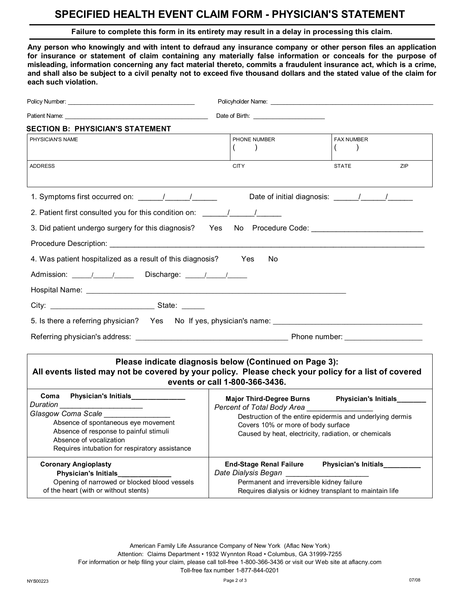## **SPECIFIED HEALTH EVENT CLAIM FORM - PHYSICIAN'S STATEMENT**

### **Failure to complete this form in its entirety may result in a delay in processing this claim.**

**Any person who knowingly and with intent to defraud any insurance company or other person files an application for insurance or statement of claim containing any materially false information or conceals for the purpose of misleading, information concerning any fact material thereto, commits a fraudulent insurance act, which is a crime, and shall also be subject to a civil penalty not to exceed five thousand dollars and the stated value of the claim for each such violation.**

| Patient Name: Name: Name: Name: Name: Name: Name: Name: Name: Name: Name: Name: Name: Name: Name: Name: Name: N                                                                                                                                                                                                                                        |                                                                                                    |                                                                                                                                                                    |  |  |  |  |
|--------------------------------------------------------------------------------------------------------------------------------------------------------------------------------------------------------------------------------------------------------------------------------------------------------------------------------------------------------|----------------------------------------------------------------------------------------------------|--------------------------------------------------------------------------------------------------------------------------------------------------------------------|--|--|--|--|
| <b>SECTION B: PHYSICIAN'S STATEMENT</b>                                                                                                                                                                                                                                                                                                                |                                                                                                    |                                                                                                                                                                    |  |  |  |  |
| PHYSICIAN'S NAME                                                                                                                                                                                                                                                                                                                                       | PHONE NUMBER<br>(                                                                                  | <b>FAX NUMBER</b><br>(                                                                                                                                             |  |  |  |  |
| <b>ADDRESS</b>                                                                                                                                                                                                                                                                                                                                         | <b>CITY</b>                                                                                        | <b>STATE</b><br>ZIP                                                                                                                                                |  |  |  |  |
| 1. Symptoms first occurred on: \[\sqmatity \]                                                                                                                                                                                                                                                                                                          |                                                                                                    |                                                                                                                                                                    |  |  |  |  |
|                                                                                                                                                                                                                                                                                                                                                        |                                                                                                    |                                                                                                                                                                    |  |  |  |  |
| 3. Did patient undergo surgery for this diagnosis? Yes No Procedure Code: 1986. [1] Procedure Code:                                                                                                                                                                                                                                                    |                                                                                                    |                                                                                                                                                                    |  |  |  |  |
|                                                                                                                                                                                                                                                                                                                                                        |                                                                                                    |                                                                                                                                                                    |  |  |  |  |
| 4. Was patient hospitalized as a result of this diagnosis? Yes                                                                                                                                                                                                                                                                                         | No.                                                                                                |                                                                                                                                                                    |  |  |  |  |
| Admission: __________________________Discharge: ________________________________                                                                                                                                                                                                                                                                       |                                                                                                    |                                                                                                                                                                    |  |  |  |  |
|                                                                                                                                                                                                                                                                                                                                                        |                                                                                                    |                                                                                                                                                                    |  |  |  |  |
|                                                                                                                                                                                                                                                                                                                                                        |                                                                                                    |                                                                                                                                                                    |  |  |  |  |
|                                                                                                                                                                                                                                                                                                                                                        |                                                                                                    |                                                                                                                                                                    |  |  |  |  |
|                                                                                                                                                                                                                                                                                                                                                        |                                                                                                    |                                                                                                                                                                    |  |  |  |  |
|                                                                                                                                                                                                                                                                                                                                                        |                                                                                                    |                                                                                                                                                                    |  |  |  |  |
| Please indicate diagnosis below (Continued on Page 3):<br>All events listed may not be covered by your policy. Please check your policy for a list of covered<br>events or call 1-800-366-3436.                                                                                                                                                        |                                                                                                    |                                                                                                                                                                    |  |  |  |  |
| Coma<br>Physician's Initials_____________<br><b>Duration Contract Contract Contract Contract Contract Contract Contract Contract Contract Contract Contract Co</b><br>Glasgow Coma Scale<br>Absence of spontaneous eye movement<br>Absence of response to painful stimuli<br>Absence of vocalization<br>Requires intubation for respiratory assistance | Percent of Total Body Area _________________<br>Covers 10% or more of body surface                 | Major Third-Degree Burns Physician's Initials<br>Destruction of the entire epidermis and underlying dermis<br>Caused by heat, electricity, radiation, or chemicals |  |  |  |  |
| <b>Coronary Angioplasty</b><br><b>Physician's Initials</b><br>Opening of narrowed or blocked blood vessels<br>of the heart (with or without stents)                                                                                                                                                                                                    | <b>End-Stage Renal Failure</b><br>Date Dialysis Began<br>Permanent and irreversible kidney failure | <b>Physician's Initials</b><br>Requires dialysis or kidney transplant to maintain life                                                                             |  |  |  |  |

American Family Life Assurance Company of New York (Aflac New York) Attention: Claims Department • 1932 Wynnton Road • Columbus, GA 31999-7255 For information or help filing your claim, please call toll-free 1-800-366-3436 or visit our Web site at aflacny.com Toll-free fax number 1-877-844-0201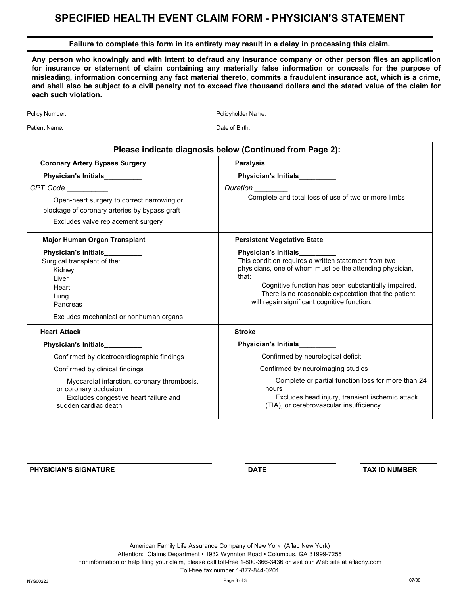# **SPECIFIED HEALTH EVENT CLAIM FORM - PHYSICIAN'S STATEMENT**

### **Failure to complete this form in its entirety may result in a delay in processing this claim.**

**Any person who knowingly and with intent to defraud any insurance company or other person files an application for insurance or statement of claim containing any materially false information or conceals for the purpose of misleading, information concerning any fact material thereto, commits a fraudulent insurance act, which is a crime, and shall also be subject to a civil penalty not to exceed five thousand dollars and the stated value of the claim for each such violation.**

| Policy Number: National Accounts and Accounts and Accounts and Accounts and Accounts and Accounts and Accounts and Accounts and Accounts and Accounts and Accounts and Accounts and Accounts and Accounts and Accounts and Acc | Policyholder Name:<br>Folicyholder Name:                                                                                                                                                                                                                                                                                 |  |  |  |  |
|--------------------------------------------------------------------------------------------------------------------------------------------------------------------------------------------------------------------------------|--------------------------------------------------------------------------------------------------------------------------------------------------------------------------------------------------------------------------------------------------------------------------------------------------------------------------|--|--|--|--|
|                                                                                                                                                                                                                                | Date of Birth: National Property of Birth:                                                                                                                                                                                                                                                                               |  |  |  |  |
| Please indicate diagnosis below (Continued from Page 2):                                                                                                                                                                       |                                                                                                                                                                                                                                                                                                                          |  |  |  |  |
| <b>Coronary Artery Bypass Surgery</b>                                                                                                                                                                                          | <b>Paralysis</b>                                                                                                                                                                                                                                                                                                         |  |  |  |  |
| Physician's Initials_________                                                                                                                                                                                                  | Physician's Initials_________<br>Duration<br>Complete and total loss of use of two or more limbs                                                                                                                                                                                                                         |  |  |  |  |
| CPT Code <b>CR</b><br>Open-heart surgery to correct narrowing or<br>blockage of coronary arteries by bypass graft<br>Excludes valve replacement surgery                                                                        |                                                                                                                                                                                                                                                                                                                          |  |  |  |  |
| Major Human Organ Transplant                                                                                                                                                                                                   | <b>Persistent Vegetative State</b>                                                                                                                                                                                                                                                                                       |  |  |  |  |
| Physician's Initials__________<br>Surgical transplant of the:<br>Kidney<br>Liver<br>Heart<br>Lung<br>Pancreas<br>Excludes mechanical or nonhuman organs                                                                        | Physician's Initials__________<br>This condition requires a written statement from two<br>physicians, one of whom must be the attending physician,<br>that:<br>Cognitive function has been substantially impaired.<br>There is no reasonable expectation that the patient<br>will regain significant cognitive function. |  |  |  |  |
| <b>Heart Attack</b>                                                                                                                                                                                                            | <b>Stroke</b>                                                                                                                                                                                                                                                                                                            |  |  |  |  |
| <b>Physician's Initials</b>                                                                                                                                                                                                    | Physician's Initials_________                                                                                                                                                                                                                                                                                            |  |  |  |  |
| Confirmed by electrocardiographic findings                                                                                                                                                                                     | Confirmed by neurological deficit                                                                                                                                                                                                                                                                                        |  |  |  |  |
| Confirmed by clinical findings                                                                                                                                                                                                 | Confirmed by neuroimaging studies                                                                                                                                                                                                                                                                                        |  |  |  |  |
| Myocardial infarction, coronary thrombosis,<br>or coronary occlusion<br>Excludes congestive heart failure and<br>sudden cardiac death                                                                                          | Complete or partial function loss for more than 24<br>hours<br>Excludes head injury, transient ischemic attack<br>(TIA), or cerebrovascular insufficiency                                                                                                                                                                |  |  |  |  |

**PHYSICIAN'S SIGNATURE DATE TAX ID NUMBER**